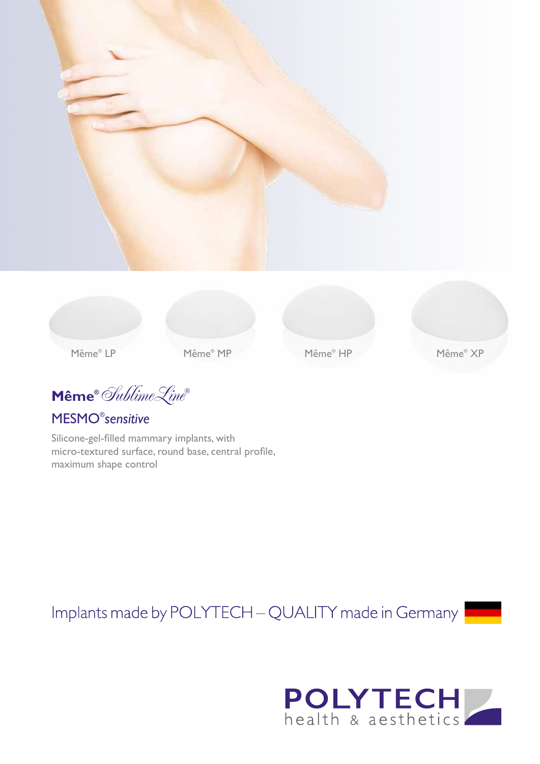



Même® MP

Même® HP

 $\textbf{Même}^{\circ}$  Sublime Line

**MESMO**<sup>®</sup>sensitive

Silicone-gel-filled mammary implants, with micro-textured surface, round base, central profile, maximum shape control

Implants made by POLYTECH - QUALITY made in Germany



Même® XP